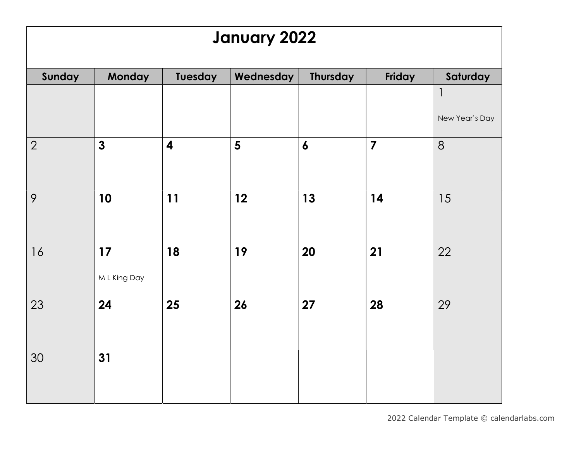## January 2022

| Sunday         | Monday       | Tuesday                 | Wednesday | <b>Thursday</b>  | Friday                  | Saturday       |
|----------------|--------------|-------------------------|-----------|------------------|-------------------------|----------------|
|                |              |                         |           |                  |                         | $\mathbf{1}$   |
|                |              |                         |           |                  |                         | New Year's Day |
| $\overline{2}$ | $\mathbf{3}$ | $\overline{\mathbf{4}}$ | 5         | $\boldsymbol{6}$ | $\overline{\mathbf{z}}$ | 8              |
|                |              |                         |           |                  |                         |                |
| 9              | 10           | 11                      | 12        | 13               | 14                      | 15             |
|                |              |                         |           |                  |                         |                |
| 16             | 17           | 18                      | 19        | 20               | 21                      | 22             |
|                | M L King Day |                         |           |                  |                         |                |
| 23             | 24           | 25                      | 26        | 27               | 28                      | 29             |
|                |              |                         |           |                  |                         |                |
| 30             | 31           |                         |           |                  |                         |                |
|                |              |                         |           |                  |                         |                |
|                |              |                         |           |                  |                         |                |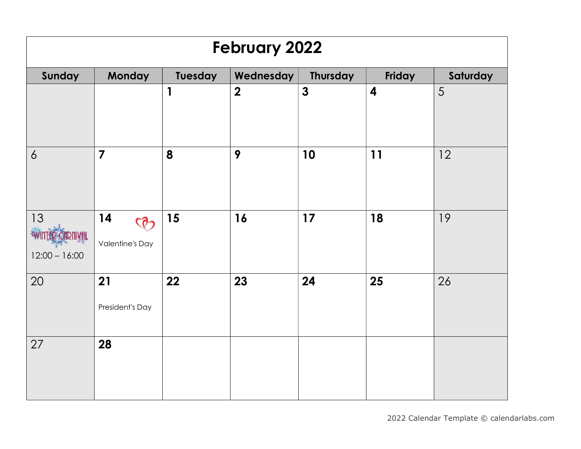| <b>February 2022</b>  |                                               |              |                  |                 |                         |          |  |  |
|-----------------------|-----------------------------------------------|--------------|------------------|-----------------|-------------------------|----------|--|--|
| Sunday                | Monday                                        | Tuesday      | Wednesday        | <b>Thursday</b> | Friday                  | Saturday |  |  |
|                       |                                               | $\mathbf{1}$ | $\boldsymbol{2}$ | $\mathbf{3}$    | $\overline{\mathbf{4}}$ | 5        |  |  |
| $\overline{6}$        | $\overline{7}$                                | 8            | 9                | 10              | 11                      | 12       |  |  |
| 13<br>$12:00 - 16:00$ | 14<br>$\mathcal{Q}$<br><b>Valentine's Day</b> | 15           | 16               | 17              | 18                      | 19       |  |  |
| 20                    | 21<br>President's Day                         | 22           | 23               | 24              | 25                      | 26       |  |  |
| 27                    | 28                                            |              |                  |                 |                         |          |  |  |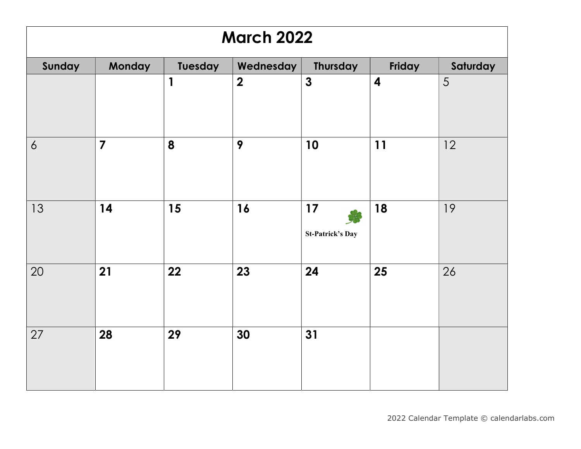| <b>March 2022</b> |                         |              |                  |                               |                         |          |  |  |  |
|-------------------|-------------------------|--------------|------------------|-------------------------------|-------------------------|----------|--|--|--|
| Sunday            | Monday                  | Tuesday      | Wednesday        | <b>Thursday</b>               | Friday                  | Saturday |  |  |  |
|                   |                         | $\mathbf{1}$ | $\boldsymbol{2}$ | $\mathbf{3}$                  | $\overline{\mathbf{4}}$ | 5        |  |  |  |
| 6                 | $\overline{\mathbf{z}}$ | 8            | 9                | 10                            | 11                      | 12       |  |  |  |
| 13                | 14                      | 15           | 16               | 17<br><b>St-Patrick's Day</b> | 18                      | 19       |  |  |  |
| 20                | 21                      | 22           | 23               | 24                            | 25                      | 26       |  |  |  |
| 27                | 28                      | 29           | 30               | 31                            |                         |          |  |  |  |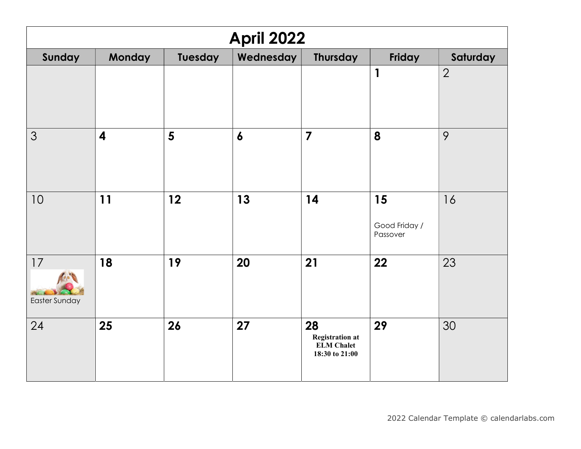| <b>April 2022</b>   |                         |         |                  |                                                                     |                                 |                |  |  |
|---------------------|-------------------------|---------|------------------|---------------------------------------------------------------------|---------------------------------|----------------|--|--|
| Sunday              | <b>Monday</b>           | Tuesday | Wednesday        | <b>Thursday</b>                                                     | Friday                          | Saturday       |  |  |
|                     |                         |         |                  |                                                                     | 1                               | $\overline{2}$ |  |  |
| 3                   | $\overline{\mathbf{4}}$ | 5       | $\boldsymbol{6}$ | $\overline{7}$                                                      | 8                               | 9              |  |  |
| 10                  | 11                      | 12      | 13               | 14                                                                  | 15<br>Good Friday /<br>Passover | 16             |  |  |
| 17<br>Easter Sunday | 18                      | 19      | 20               | 21                                                                  | 22                              | 23             |  |  |
| 24                  | 25                      | 26      | 27               | 28<br><b>Registration at</b><br><b>ELM Chalet</b><br>18:30 to 21:00 | 29                              | 30             |  |  |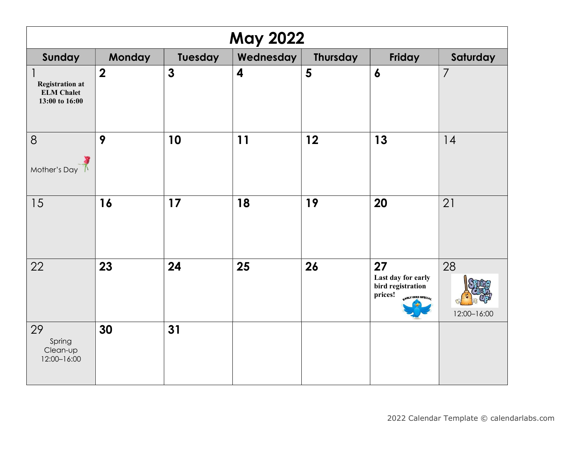| <b>May 2022</b>                                                               |                         |              |                         |                 |                                                                              |                   |  |  |
|-------------------------------------------------------------------------------|-------------------------|--------------|-------------------------|-----------------|------------------------------------------------------------------------------|-------------------|--|--|
| Sunday                                                                        | <b>Monday</b>           | Tuesday      | Wednesday               | <b>Thursday</b> | Friday                                                                       | Saturday          |  |  |
| $\mathsf{l}$<br><b>Registration at</b><br><b>ELM Chalet</b><br>13:00 to 16:00 | $\overline{\mathbf{2}}$ | $\mathbf{3}$ | $\overline{\mathbf{4}}$ | 5               | $\boldsymbol{6}$                                                             | $\overline{7}$    |  |  |
| 8<br>Mother's Day                                                             | 9                       | 10           | 11                      | 12              | 13                                                                           | 14                |  |  |
| 15                                                                            | 16                      | 17           | 18                      | 19              | 20                                                                           | 21                |  |  |
| 22                                                                            | 23                      | 24           | 25                      | 26              | 27<br>Last day for early<br>bird registration<br>prices!<br>elY BIRD SPECIA. | 28<br>12:00-16:00 |  |  |
| 29<br>Spring<br>Clean-up<br>12:00-16:00                                       | 30                      | 31           |                         |                 |                                                                              |                   |  |  |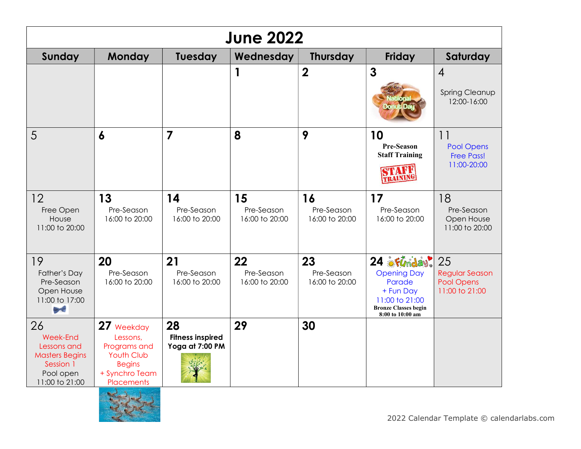| <b>June 2022</b>                                                                                   |                                                                                                              |                                                  |                                    |                                    |                                                                                                                              |                                                             |  |  |
|----------------------------------------------------------------------------------------------------|--------------------------------------------------------------------------------------------------------------|--------------------------------------------------|------------------------------------|------------------------------------|------------------------------------------------------------------------------------------------------------------------------|-------------------------------------------------------------|--|--|
| Sunday                                                                                             | <b>Monday</b>                                                                                                | Tuesday                                          | Wednesday                          | <b>Thursday</b>                    | Friday                                                                                                                       | Saturday                                                    |  |  |
|                                                                                                    |                                                                                                              |                                                  | 1                                  | $\boldsymbol{2}$                   | $\mathbf{3}$                                                                                                                 | $\overline{4}$<br><b>Spring Cleanup</b><br>12:00-16:00      |  |  |
| 5                                                                                                  | 6                                                                                                            | $\overline{7}$                                   | 8                                  | 9                                  | 10<br>Pre-Season<br><b>Staff Training</b><br>VTAFR<br>TRAINING                                                               | 11<br><b>Pool Opens</b><br><b>Free Pass!</b><br>11:00-20:00 |  |  |
| 12<br>Free Open<br>House<br>11:00 to 20:00                                                         | 13<br>Pre-Season<br>16:00 to 20:00                                                                           | 14<br>Pre-Season<br>16:00 to 20:00               | 15<br>Pre-Season<br>16:00 to 20:00 | 16<br>Pre-Season<br>16:00 to 20:00 | 17<br>Pre-Season<br>16:00 to 20:00                                                                                           | 18<br>Pre-Season<br>Open House<br>11:00 to 20:00            |  |  |
| 19<br>Father's Day<br>Pre-Season<br>Open House<br>11:00 to 17:00<br><b>Brief</b>                   | 20<br>Pre-Season<br>16:00 to 20:00                                                                           | 21<br>Pre-Season<br>16:00 to 20:00               | 22<br>Pre-Season<br>16:00 to 20:00 | 23<br>Pre-Season<br>16:00 to 20:00 | 24 Flmday.<br><b>Opening Day</b><br>Parade<br>+ Fun Day<br>11:00 to 21:00<br><b>Bronze Classes begin</b><br>8:00 to 10:00 am | 25<br><b>Regular Season</b><br>Pool Opens<br>11:00 to 21:00 |  |  |
| 26<br>Week-End<br>Lessons and<br><b>Masters Begins</b><br>Session 1<br>Pool open<br>11:00 to 21:00 | 27 Weekday<br>Lessons,<br>Programs and<br><b>Youth Club</b><br><b>Begins</b><br>+ Synchro Team<br>Placements | 28<br><b>Fitness inspired</b><br>Yoga at 7:00 PM | 29                                 | 30                                 |                                                                                                                              |                                                             |  |  |

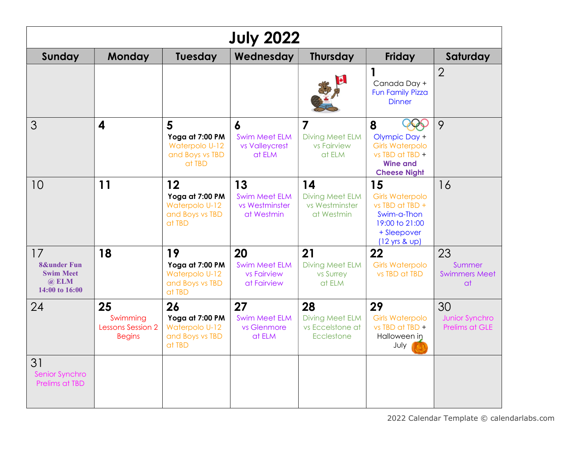| <b>July 2022</b>                                                            |                                                      |                                                                      |                                                            |                                                                   |                                                                                                                                         |                                            |  |  |
|-----------------------------------------------------------------------------|------------------------------------------------------|----------------------------------------------------------------------|------------------------------------------------------------|-------------------------------------------------------------------|-----------------------------------------------------------------------------------------------------------------------------------------|--------------------------------------------|--|--|
| Sunday                                                                      | <b>Monday</b>                                        | <b>Tuesday</b>                                                       | Wednesday                                                  | <b>Thursday</b>                                                   | <b>Friday</b>                                                                                                                           | Saturday                                   |  |  |
|                                                                             |                                                      |                                                                      |                                                            |                                                                   | 1<br>Canada Day +<br>Fun Family Pizza<br><b>Dinner</b>                                                                                  | $\overline{2}$                             |  |  |
| 3                                                                           | $\boldsymbol{4}$                                     | 5<br>Yoga at 7:00 PM<br>Waterpolo U-12<br>and Boys vs TBD<br>at TBD  | 6<br><b>Swim Meet ELM</b><br>vs Valleycrest<br>at ELM      | $\overline{7}$<br><b>Diving Meet ELM</b><br>vs Fairview<br>at ELM | 8<br>Olympic Day +<br><b>Girls Waterpolo</b><br>$vs$ TBD at TBD $+$<br><b>Wine and</b><br><b>Cheese Night</b>                           | 9                                          |  |  |
| 10                                                                          | 11                                                   | 12<br>Yoga at 7:00 PM<br>Waterpolo U-12<br>and Boys vs TBD<br>at TBD | 13<br><b>Swim Meet ELM</b><br>vs Westminster<br>at Westmin | 14<br><b>Diving Meet ELM</b><br>vs Westminster<br>at Westmin      | 15<br><b>Girls Waterpolo</b><br>$vs$ TBD at TBD $+$<br>Swim-a-Thon<br>19:00 to 21:00<br>+ Sleepover<br>$(12 \text{ yrs } 8 \text{ up})$ | 16                                         |  |  |
| 17<br><b>8&amp;under Fun</b><br><b>Swim Meet</b><br>@ ELM<br>14:00 to 16:00 | 18                                                   | 19<br>Yoga at 7:00 PM<br>Waterpolo U-12<br>and Boys vs TBD<br>at TBD | 20<br><b>Swim Meet ELM</b><br>vs Fairview<br>at Fairview   | 21<br>Diving Meet ELM<br>vs Surrey<br>at ELM                      | 22<br><b>Girls Waterpolo</b><br>vs TBD at TBD                                                                                           | 23<br>Summer<br><b>Swimmers Meet</b><br>at |  |  |
| 24                                                                          | 25<br>Swimming<br>Lessons Session 2<br><b>Begins</b> | 26<br>Yoga at 7:00 PM<br>Waterpolo U-12<br>and Boys vs TBD<br>at TBD | 27<br><b>Swim Meet ELM</b><br>vs Glenmore<br>at ELM        | 28<br><b>Diving Meet ELM</b><br>vs Eccelstone at<br>Ecclestone    | 29<br><b>Girls Waterpolo</b><br>$vs$ TBD at TBD $+$<br>Halloween in<br>July                                                             | 30<br>Junior Synchro<br>Prelims at GLE     |  |  |
| 31<br>Senior Synchro<br>Prelims at TBD                                      |                                                      |                                                                      |                                                            |                                                                   |                                                                                                                                         |                                            |  |  |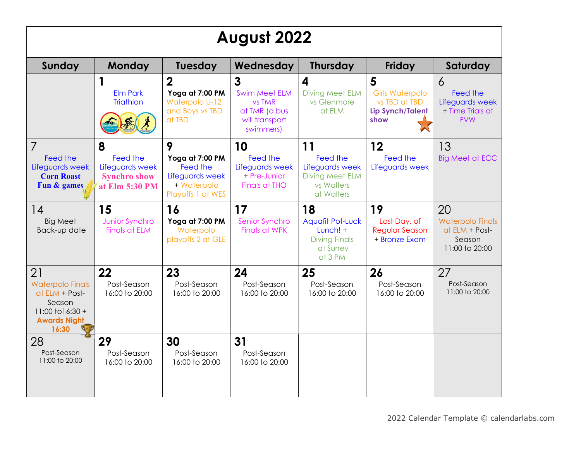| August 2022                                                                                                       |                                                                           |                                                                                         |                                                                                                         |                                                                                           |                                                                                 |                                                                             |  |  |
|-------------------------------------------------------------------------------------------------------------------|---------------------------------------------------------------------------|-----------------------------------------------------------------------------------------|---------------------------------------------------------------------------------------------------------|-------------------------------------------------------------------------------------------|---------------------------------------------------------------------------------|-----------------------------------------------------------------------------|--|--|
| Sunday                                                                                                            | <b>Monday</b>                                                             | <b>Tuesday</b>                                                                          | Wednesday                                                                                               | <b>Thursday</b>                                                                           | <b>Friday</b>                                                                   | Saturday                                                                    |  |  |
|                                                                                                                   | <b>Elm Park</b><br><b>Triathlon</b>                                       | $\overline{2}$<br>Yoga at 7:00 PM<br>Waterpolo U-12<br>and Boys vs TBD<br>at TBD        | $\overline{3}$<br><b>Swim Meet ELM</b><br><b>vs TMR</b><br>at TMR (a bus<br>will transport<br>swimmers) | $\boldsymbol{4}$<br><b>Diving Meet ELM</b><br>vs Glenmore<br>at ELM                       | 5<br><b>Girls Waterpolo</b><br>vs TBD at TBD<br><b>Lip Synch/Talent</b><br>show | 6<br>Feed the<br>Lifeguards week<br>+ Time Trials at<br><b>FVW</b>          |  |  |
| $\overline{7}$<br>Feed the<br>Lifeguards week<br><b>Corn Roast</b><br>Fun & games                                 | 8<br>Feed the<br>Lifeguards week<br><b>Synchro show</b><br>at Elm 5:30 PM | 9<br>Yoga at 7:00 PM<br>Feed the<br>Lifeguards week<br>+ Waterpolo<br>Playoffs 1 at WES | 10<br>Feed the<br>Lifeguards week<br>+ Pre-Junior<br><b>Finals at THO</b>                               | 11<br>Feed the<br>Lifeguards week<br><b>Diving Meet ELM</b><br>vs Walters<br>at Walters   | 12<br>Feed the<br>Lifeguards week                                               | 13<br><b>Big Meet at ECC</b>                                                |  |  |
| 14<br><b>Big Meet</b><br>Back-up date                                                                             | 15<br>Junior Synchro<br><b>Finals at ELM</b>                              | 16<br>Yoga at 7:00 PM<br>Waterpolo<br>playoffs 2 at GLE                                 | 17<br>Senior Synchro<br><b>Finals at WPK</b>                                                            | 18<br><b>Aquafit Pot-Luck</b><br>Lunch! +<br><b>Diving Finals</b><br>at Surrey<br>at 3 PM | 19<br>Last Day. of<br><b>Regular Season</b><br>+ Bronze Exam                    | 20<br><b>Waterpolo Finals</b><br>at ELM + Post-<br>Season<br>11:00 to 20:00 |  |  |
| 21<br><b>Waterpolo Finals</b><br>at ELM + Post-<br>Season<br>$11:00$ to $16:30 +$<br><b>Awards Night</b><br>16:30 | 22<br>Post-Season<br>16:00 to 20:00                                       | 23<br>Post-Season<br>16:00 to 20:00                                                     | 24<br>Post-Season<br>16:00 to 20:00                                                                     | 25<br>Post-Season<br>16:00 to 20:00                                                       | 26<br>Post-Season<br>16:00 to 20:00                                             | 27<br>Post-Season<br>11:00 to 20:00                                         |  |  |
| 28<br>Post-Season<br>11:00 to 20:00                                                                               | 29<br>Post-Season<br>16:00 to 20:00                                       | 30<br>Post-Season<br>16:00 to 20:00                                                     | 31<br>Post-Season<br>16:00 to 20:00                                                                     |                                                                                           |                                                                                 |                                                                             |  |  |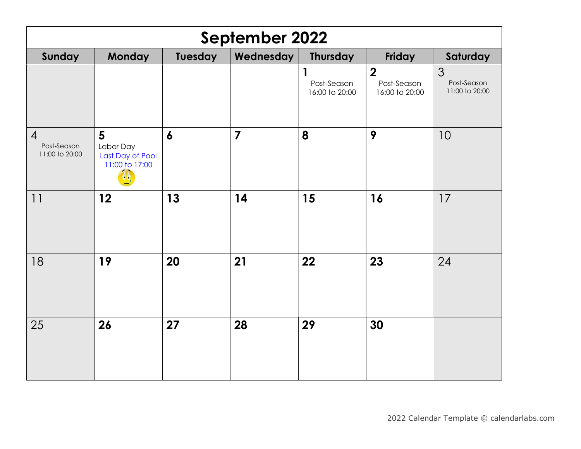| <b>September 2022</b>                           |                                                                    |                  |                |                                               |                                                   |                                    |  |  |
|-------------------------------------------------|--------------------------------------------------------------------|------------------|----------------|-----------------------------------------------|---------------------------------------------------|------------------------------------|--|--|
| Sunday                                          | <b>Monday</b>                                                      | Tuesday          | Wednesday      | <b>Thursday</b>                               | Friday                                            | Saturday                           |  |  |
|                                                 |                                                                    |                  |                | $\mathbf{1}$<br>Post-Season<br>16:00 to 20:00 | $\boldsymbol{2}$<br>Post-Season<br>16:00 to 20:00 | 3<br>Post-Season<br>11:00 to 20:00 |  |  |
| $\overline{4}$<br>Post-Season<br>11:00 to 20:00 | $5\overline{)}$<br>Labor Day<br>Last Day of Pool<br>11:00 to 17:00 | $\boldsymbol{6}$ | $\overline{7}$ | 8                                             | 9                                                 | 10                                 |  |  |
| 11                                              | 12                                                                 | 13               | 14             | 15                                            | 16                                                | 17                                 |  |  |
| 18                                              | 19                                                                 | 20               | 21             | 22                                            | 23                                                | 24                                 |  |  |
| 25                                              | 26                                                                 | 27               | 28             | 29                                            | 30                                                |                                    |  |  |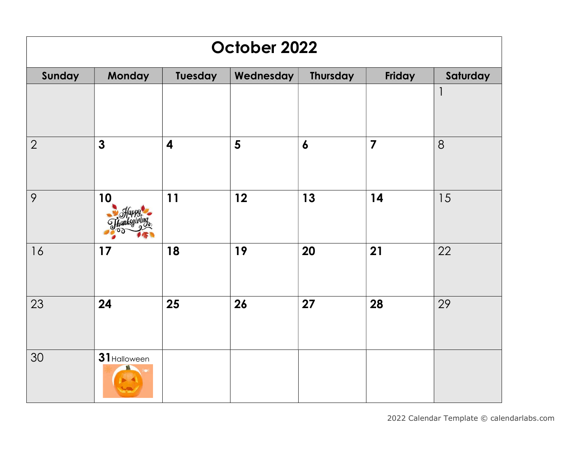## October 2022

| Sunday         | Monday       | Tuesday                 | Wednesday | <b>Thursday</b>  | Friday                  | Saturday     |
|----------------|--------------|-------------------------|-----------|------------------|-------------------------|--------------|
|                |              |                         |           |                  |                         | $\mathbf{I}$ |
| $\overline{2}$ | $\mathbf{3}$ | $\overline{\mathbf{4}}$ | 5         | $\boldsymbol{6}$ | $\overline{\mathbf{z}}$ | 8            |
| 9              | 10           | 11                      | 12        | 13               | 14                      | 15           |
| 16             | 17           | 18                      | 19        | 20               | 21                      | 22           |
| 23             | 24           | 25                      | 26        | 27               | 28                      | 29           |
| 30             | 31 Halloween |                         |           |                  |                         |              |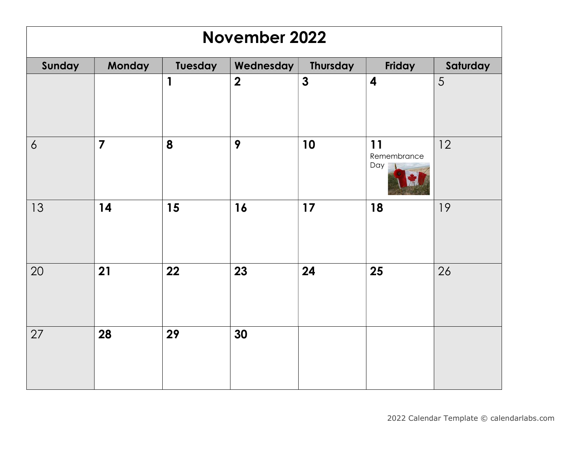| November 2022   |                |              |                         |                 |                          |          |  |  |
|-----------------|----------------|--------------|-------------------------|-----------------|--------------------------|----------|--|--|
| Sunday          | Monday         | Tuesday      | Wednesday               | <b>Thursday</b> | Friday                   | Saturday |  |  |
|                 |                | $\mathbf{1}$ | $\overline{\mathbf{2}}$ | $\mathbf{3}$    | $\overline{\mathbf{4}}$  | 5        |  |  |
| 6               | $\overline{7}$ | 8            | 9                       | 10              | 11<br>Remembrance<br>Day | 12       |  |  |
| 13              | 14             | 15           | 16                      | 17              | 18                       | 19       |  |  |
| 20              | 21             | 22           | 23                      | 24              | 25                       | 26       |  |  |
| $\overline{27}$ | 28             | 29           | 30                      |                 |                          |          |  |  |